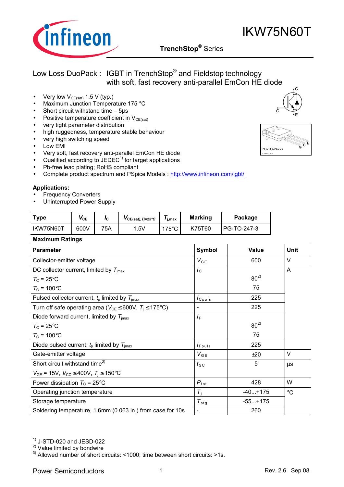

- Very low  $V_{CE(sat)}$  1.5 V (typ.)
- Maximum Junction Temperature 175 °C
- Short circuit withstand time  $-5\mu s$
- Positive temperature coefficient in  $V_{CE(sat)}$
- very tight parameter distribution
- high ruggedness, temperature stable behaviour
- very high switching speed
- Low EMI
- Very soft, fast recovery anti-parallel EmCon HE diode
- Qualified according to JEDEC<sup>1)</sup> for target applications
- Pb-free lead plating; RoHS compliant
- Complete product spectrum and PSpice Models : http://www.infineon.com/igbt/

#### **Applications:**

- **Frequency Converters**
- Uninterrupted Power Supply

| <b>Type</b> | $V_{CE}$ | Ιc  | $VCE(sat)$ , Tj=25°C | i.max         | <b>Marking</b> | Package       |
|-------------|----------|-----|----------------------|---------------|----------------|---------------|
| IKW75N60T   | 600V     | 75A | .5V                  | $175^{\circ}$ | K75T60         | I PG-TO-247-3 |

#### **Maximum Ratings**

| <b>Parameter</b>                                                              | <b>Symbol</b>                  | <b>Value</b> | Unit        |
|-------------------------------------------------------------------------------|--------------------------------|--------------|-------------|
| Collector-emitter voltage                                                     | $V_{CE}$                       | 600          | V           |
| DC collector current, limited by $T_{\text{imax}}$                            | $I_{\rm C}$                    |              | A           |
| $T_{\rm C}$ = 25°C                                                            |                                | $80^{2}$     |             |
| $T_c$ = 100°C                                                                 |                                | 75           |             |
| Pulsed collector current, $t_p$ limited by $T_{\text{imax}}$                  | $I_{C^{puls}}$                 | 225          |             |
| Turn off safe operating area ( $V_{CE} \leq 600V$ , $T_i \leq 175^{\circ}C$ ) | $\overline{\phantom{a}}$       | 225          |             |
| Diode forward current, limited by $T_{\text{imax}}$                           | $I_{\rm F}$                    |              |             |
| $T_{\rm C}$ = 25°C                                                            |                                | $80^{2}$     |             |
| $T_{\rm C}$ = 100°C                                                           |                                | 75           |             |
| Diode pulsed current, $t_p$ limited by $T_{\text{imax}}$                      | $I_{Fpuls}$                    | 225          |             |
| Gate-emitter voltage                                                          | $V_{GE}$                       | ±20          | V           |
| Short circuit withstand time <sup>3)</sup>                                    | $t_{\scriptscriptstyle\rm SC}$ | 5            | $\mu$ s     |
| $V_{GE}$ = 15V, $V_{CC} \leq 400V$ , $T_i \leq 150^{\circ}C$                  |                                |              |             |
| Power dissipation $T_c = 25^{\circ}$ C                                        | $P_{\rm tot}$                  | 428          | W           |
| Operating junction temperature                                                | $T_i$                          | $-40+175$    | $^{\circ}C$ |
| Storage temperature                                                           | $T_{\text{stg}}$               | $-55+175$    |             |
| Soldering temperature, 1.6mm (0.063 in.) from case for 10s                    |                                | 260          |             |

 $<sup>1)</sup>$  J-STD-020 and JESD-022</sup>

2) Value limited by bondwire

 $3)$  Allowed number of short circuits: <1000; time between short circuits: >1s.







 $C$  E  $\bar{c}$ 

PG-TO-247-3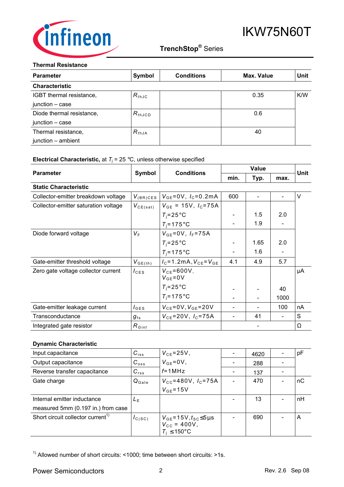

#### **Thermal Resistance**

| <b>Parameter</b>          | Symbol          | <b>Conditions</b> | Max. Value | Unit |
|---------------------------|-----------------|-------------------|------------|------|
| <b>Characteristic</b>     |                 |                   |            |      |
| IGBT thermal resistance,  | $R_{thJC}$      |                   | 0.35       | K/W  |
| junction - case           |                 |                   |            |      |
| Diode thermal resistance, | $R_{\rm thJCD}$ |                   | 0.6        |      |
| junction - case           |                 |                   |            |      |
| Thermal resistance,       | $R_{thJA}$      |                   | 40         |      |
| junction - ambient        |                 |                   |            |      |

#### **Electrical Characteristic,** at  $T_j$  = 25 °C, unless otherwise specified

|                                      |                  |                                    | <b>Value</b> |                              |      |             |
|--------------------------------------|------------------|------------------------------------|--------------|------------------------------|------|-------------|
| <b>Parameter</b>                     | Symbol           | <b>Conditions</b>                  |              | Typ.                         | max. | <b>Unit</b> |
| <b>Static Characteristic</b>         |                  |                                    |              |                              |      |             |
| Collector-emitter breakdown voltage  | $V_{(BR)CES}$    | $V_{GE} = 0V$ , $I_C = 0.2mA$      | 600          | $\blacksquare$               |      | V           |
| Collector-emitter saturation voltage | $V_{CE(sat)}$    | $V_{GE}$ = 15V, $I_C$ =75A         |              |                              |      |             |
|                                      |                  | $T_i = 25^{\circ}$ C               |              | 1.5                          | 2.0  |             |
|                                      |                  | $T_i = 175$ °C                     |              | 1.9                          |      |             |
| Diode forward voltage                | $V_{\rm F}$      | $V_{GE} = 0V$ , $I_F = 75A$        |              |                              |      |             |
|                                      |                  | $T_i = 25^{\circ}$ C               |              | 1.65                         | 2.0  |             |
|                                      |                  | $T_i = 175$ °C                     |              | 1.6                          |      |             |
| Gate-emitter threshold voltage       | $V_{GE(th)}$     | $I_c = 1.2$ mA, $V_{ce} = V_{GE}$  | 4.1          | 4.9                          | 5.7  |             |
| Zero gate voltage collector current  | $I_{\text{CES}}$ | $V_{CE} = 600V$ ,<br>$V_{GE} = 0V$ |              |                              |      | μA          |
|                                      |                  | $T_i = 25^{\circ}C$                |              |                              | 40   |             |
|                                      |                  | $T_i = 175$ °C                     |              | $\qquad \qquad \blacksquare$ | 1000 |             |
| Gate-emitter leakage current         | $I_{\text{GES}}$ | $V_{CE} = 0V, V_{GE} = 20V$        |              |                              | 100  | nA          |
| Transconductance                     | $g_{fs}$         | $V_{CE} = 20V$ , $I_C = 75A$       |              | 41                           |      | S           |
| Integrated gate resistor             | $R_{Gint}$       |                                    |              |                              |      | Ω           |

### **Dynamic Characteristic**

| Input capacitance                             | $C_{iss}$         | $V_{CE} = 25V$ ,                                                                    | 4620 | pF |
|-----------------------------------------------|-------------------|-------------------------------------------------------------------------------------|------|----|
| Output capacitance                            | $C_{\text{oss}}$  | $V_{GE} = 0V$ ,                                                                     | 288  |    |
| Reverse transfer capacitance                  | $C_{rss}$         | $f = 1$ MHz                                                                         | 137  |    |
| Gate charge                                   | $Q_{\text{Gate}}$ | $V_{\text{cc}}$ =480V, $I_{\text{c}}$ =75A                                          | 470  | nС |
|                                               |                   | $V_{GE}$ =15V                                                                       |      |    |
| Internal emitter inductance                   | $L_{\rm F}$       |                                                                                     | 13   | nH |
| measured 5mm (0.197 in.) from case            |                   |                                                                                     |      |    |
| Short circuit collector current <sup>1)</sup> | $I_{C(SC)}$       | $V_{GE}$ =15V, $t_{SC}$ ≤5µs<br>$V_{\text{CC}} = 400V,$<br>$T_i \leq 150^{\circ}$ C | 690  | A  |

 $1)$  Allowed number of short circuits: <1000; time between short circuits: >1s.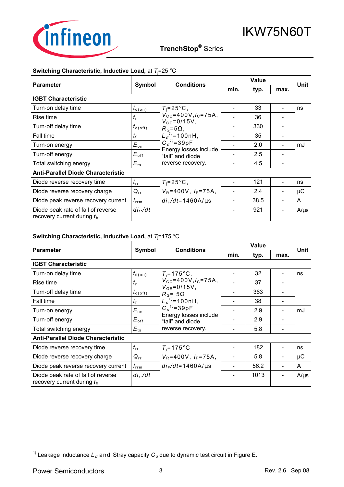

## **TrenchStop®** Series q

#### **Switching Characteristic, Inductive Load,** at *T*<sup>j</sup> =25 °C

|                                                                    |                          | <b>Conditions</b>                           | <b>Value</b> |      |      | Unit      |
|--------------------------------------------------------------------|--------------------------|---------------------------------------------|--------------|------|------|-----------|
| <b>Parameter</b>                                                   | Symbol                   |                                             | min.         | typ. | max. |           |
| <b>IGBT Characteristic</b>                                         |                          |                                             |              |      |      |           |
| Turn-on delay time                                                 | $t_{\text{\tiny d(0n)}}$ | $T_i = 25^{\circ}C$ ,                       |              | 33   |      | ns        |
| Rise time                                                          | $t_{\rm r}$              | $V_{\text{cc}}$ =400V, $I_{\text{c}}$ =75A, |              | 36   |      |           |
| Turn-off delay time                                                | $t_{\sf d(\sf off)}$     | $V_{GE} = 0/15V,$<br>$R_G = 5\Omega$ ,      |              | 330  |      |           |
| Fall time                                                          | $t_{\rm f}$              | $L_{\sigma}^{1}$ = 100nH,                   |              | 35   |      |           |
| Turn-on energy                                                     | $E_{\text{on}}$          | $C_{\sigma}^{1}$ =39pF                      |              | 2.0  |      | mJ        |
| Turn-off energy                                                    | $E_{\text{off}}$         | Energy losses include<br>"tail" and diode   |              | 2.5  |      |           |
| Total switching energy                                             | $E_{\text{ts}}$          | reverse recovery.                           |              | 4.5  |      |           |
| <b>Anti-Parallel Diode Characteristic</b>                          |                          |                                             |              |      |      |           |
| Diode reverse recovery time                                        | $t_{\rm rr}$             | $T_i = 25^{\circ}$ C,                       |              | 121  |      | ns        |
| Diode reverse recovery charge                                      | $Q_{rr}$                 | $V_R = 400V$ , $I_F = 75A$ ,                |              | 2.4  |      | μC        |
| Diode peak reverse recovery current                                | $I_{\rm rrm}$            | $di_F/dt = 1460A/\mu s$                     |              | 38.5 |      | A         |
| Diode peak rate of fall of reverse<br>recovery current during $tb$ | $di_{rr}/dt$             |                                             |              | 921  |      | $A/\mu s$ |

#### **Switching Characteristic, Inductive Load,** at *T*<sup>j</sup> =175 °C

|                                                                    |                      | <b>Conditions</b>                                                 |      | <b>Value</b> |      |           |
|--------------------------------------------------------------------|----------------------|-------------------------------------------------------------------|------|--------------|------|-----------|
| <b>Parameter</b>                                                   | Symbol               |                                                                   | min. | typ.         | max. | Unit      |
| <b>IGBT Characteristic</b>                                         |                      |                                                                   |      |              |      |           |
| Turn-on delay time                                                 | $t_{\text{d}(on)}$   | $T_i = 175$ °C,                                                   |      | 32           |      | ns        |
| Rise time                                                          | $t_{\rm r}$          | $V_{\text{cc}}$ =400V, $I_{\text{c}}$ =75A,<br>$V_{GE} = 0/15V$ , |      | 37           |      |           |
| Turn-off delay time                                                | $t_{\sf d(\sf off)}$ | $R_G$ = 5 $\Omega$                                                |      | 363          |      |           |
| Fall time                                                          | $t_{\rm f}$          | $L_{\sigma}^{1}$ = 100nH,                                         |      | 38           |      |           |
| Turn-on energy                                                     | $E_{\text{on}}$      | $C_{\sigma}^{1}$ =39pF                                            |      | 2.9          |      | mJ        |
| Turn-off energy                                                    | $E_{\text{off}}$     | Energy losses include<br>"tail" and diode                         |      | 2.9          |      |           |
| Total switching energy                                             | $E_{\text{ts}}$      | reverse recovery.                                                 |      | 5.8          |      |           |
| <b>Anti-Parallel Diode Characteristic</b>                          |                      |                                                                   |      |              |      |           |
| Diode reverse recovery time                                        | $t_{\rm rr}$         | $T_i = 175$ °C                                                    |      | 182          |      | ns        |
| Diode reverse recovery charge                                      | $Q_{rr}$             | $V_R = 400V$ , $I_F = 75A$ ,                                      |      | 5.8          |      | μC        |
| Diode peak reverse recovery current                                | $I_{\text{rrm}}$     | $di_F/dt = 1460A/\mu s$                                           |      | 56.2         |      | A         |
| Diode peak rate of fall of reverse<br>recovery current during $tb$ | $di_{rr}/dt$         |                                                                   |      | 1013         |      | $A/\mu s$ |

<sup>1)</sup> Leakage inductance  $L_{\sigma}$  and Stray capacity  $C_{\sigma}$  due to dynamic test circuit in Figure E.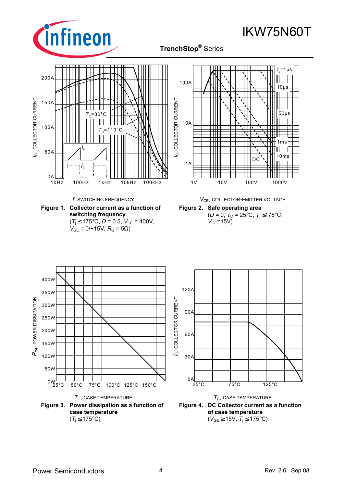

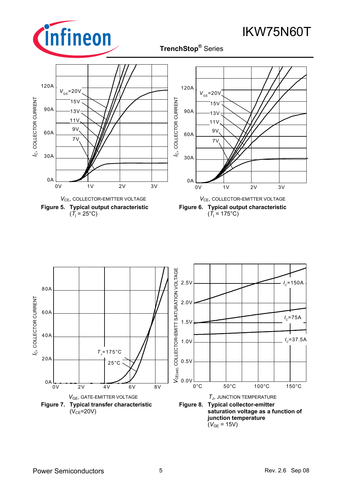

**TrenchStop®** Series q







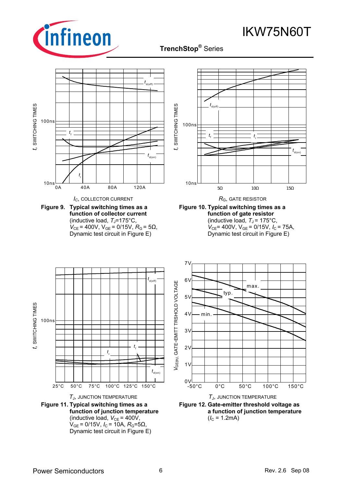

### **TrenchStop®** Series q

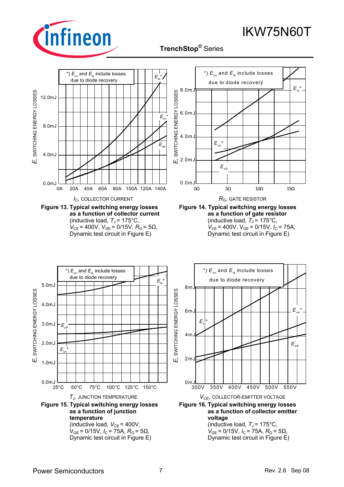



**TrenchStop®** Series q

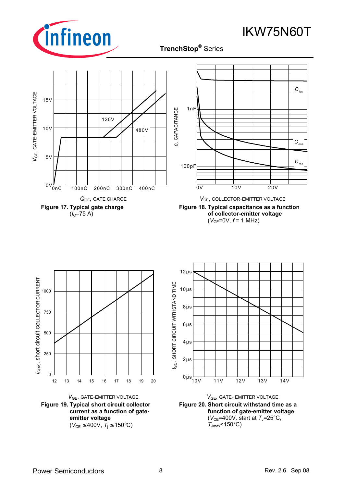

**TrenchStop®** Series q













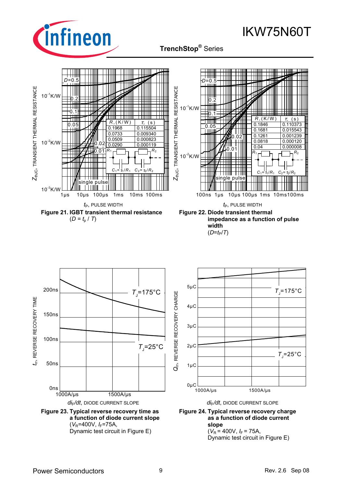

IKW75N60T



 $(V_R = 400V, I_F = 75A,$ Dynamic test circuit in Figure E)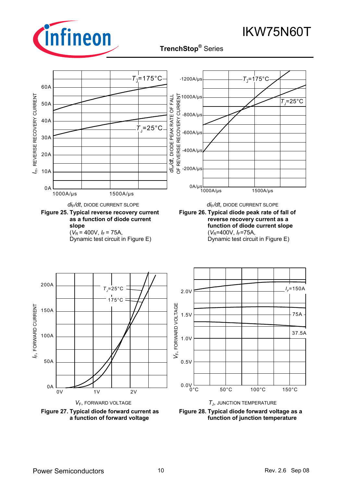

**TrenchStop®** Series q

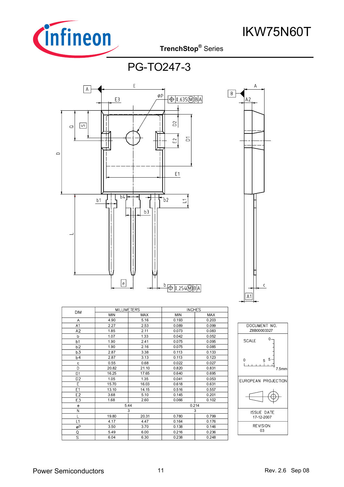

PG-TO247-3



|                         | <b>MILLIMETERS</b> |            | <b>INCHES</b> |            |  |
|-------------------------|--------------------|------------|---------------|------------|--|
| <b>DIM</b>              | <b>MIN</b>         | <b>MAX</b> | <b>MIN</b>    | <b>MAX</b> |  |
| A                       | 4.90               | 5.16       | 0.193         | 0.203      |  |
| A1                      | 2.27               | 2.53       | 0.089         | 0.099      |  |
| A2                      | 1.85               | 2.11       | 0.073         | 0.083      |  |
| b                       | 1.07               | 1.33       | 0.042         | 0.052      |  |
| b1                      | 1.90               | 2.41       | 0.075         | 0.095      |  |
| b2                      | 1.90               | 2.16       | 0.075         | 0.085      |  |
| b3                      | 2.87               | 3.38       | 0.113         | 0.133      |  |
| Ь4                      | 2.87               | 3.13       | 0.113         | 0.123      |  |
| C                       | 0.55               | 0.68       | 0.022         | 0.027      |  |
| D                       | 20.82              | 21.10      | 0.820         | 0.831      |  |
| D1                      | 16.25              | 17.65      | 0.640         | 0.695      |  |
| D <sub>2</sub>          | 1.05               | 1.35       | 0.041         | 0.053      |  |
| Ē                       | 15.70              | 16.03      | 0.618         | 0.631      |  |
| E1                      | 13.10              | 14.15      | 0.516         | 0.557      |  |
| E <sub>2</sub>          | 3.68               | 5.10       | 0.145         | 0.201      |  |
| E3                      | 1.68               | 2.60       | 0.066         | 0.102      |  |
| e                       | 5.44               |            | 0.214         |            |  |
| N                       | 3                  |            |               | 3          |  |
|                         | 19.80              | 20.31      | 0.780         | 0.799      |  |
| L1                      | 4.17               | 4.47       | 0.164         | 0.176      |  |
| øP                      | 3.50               | 3.70       | 0.138         | 0.146      |  |
| Q                       | 5.49               | 6.00       | 0.216         | 0.236      |  |
| $\overline{\mathsf{s}}$ | 6.04               | 6.30       | 0.238         | 0.248      |  |



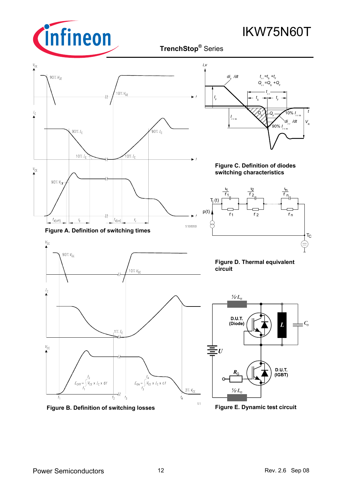

IKW75N60T

#### $V_{\rm CF}$ *i,v*  $-90\% V_{GE}$ *di /dt*  $t_{\text{rf}} = t_{\text{s}} + t_{\text{rf}}$  $Q_{\rm cr} = Q_{\rm s} + Q_{\rm r}$ .<br>10% V<sub>GE</sub> *t* r r *I t*  $s \rightarrow t$ F F  $I_{\rm C}$  $\sqrt{Q_{\rm F} - 10\% I_{\rm cm}}$   $t$ rrm *I* rrm /dt  $V_R$ 90% *I*  $90\% I_c$  $\frac{1}{90\%} I_c$ rrm 10%  $I_c$  $\frac{10\%}{10\%}$ **Figure C. Definition of diodes**   $V_{\rm CE}$ **switching characteristics** 90% $V_{CF}$ <u>τ</u> τ2 τ n  $\overline{r}_1$ ,  $\overline{r}$ r 1 2 n  $T_j(t)$  $p(t)$   $\overline{r_1}$   $\overline{r_2}$   $\overline{r_n}$ r<sub>2</sub>  $r_1$  r<sub>2</sub> r  $t_{\rm d(off)}$  $t_{\rm r}$  $t_{\rm f}$  $|t_{\sf d(\sf on}$ **SIS00053 Figure A. Definition of switching times**  $T_{\rm C}$  $V_{GE}$ 90% V<sub>GE</sub> **Figure D. Thermal equivalent circuit** 10% $V_{\text{GF}}$  $I_{\rm C}$  $\frac{1}{2}L$ D.U.T. (Diode)  $C_{\sigma}$ Τ  $1\% I_{c}$  $V_{\rm CE}$  $\dot{U}$ D.U.T.  $E_{\text{OFF}} = \int_{t_1}^{t_2} V_{\text{CE}} \times I_{\text{C}} \times dt$  $(IGBT)$  $E_{ON} = \int_{r_3}^{r_3} V_{CE} \times I_C \times dt$  $3\%$   $V_{CE}$  $\frac{1}{2}$ ·L  $\overline{t_2}$  $t_{3}$  $\mathfrak{t}_4$  $SIS$  **Figure B. Definition of switching losses**

**Figure E. Dynamic test circuit**